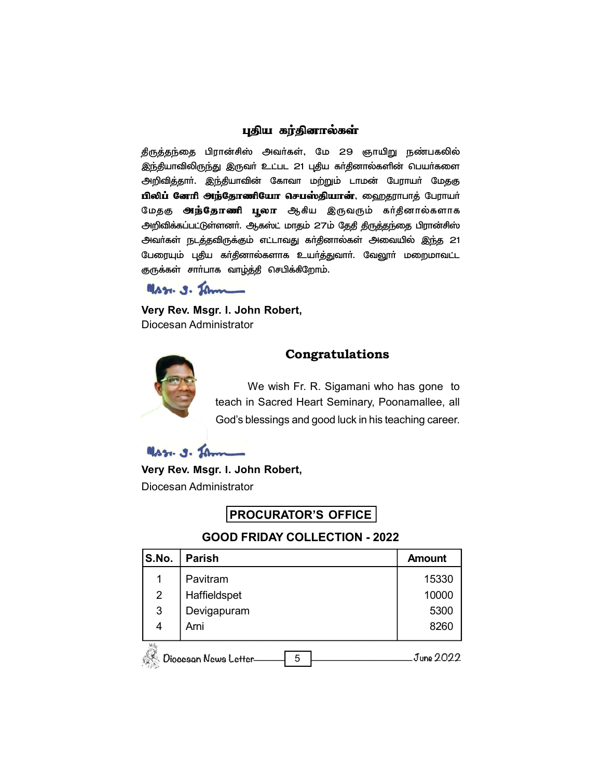### புதிய கர்தினால்கள்

தீருத்தந்தை பிரான்சிஸ் அவர்கள், மே 29 ஞாயிறு நண்பகலில் இந்தியாவிலிருந்து இருவா் உட்பட 21 புதிய கா்தினால்களின் பெயா்களை அறிவித்தார். இந்தியாவின் கோவா மற்றும் டாமன் பேராயர் மேதகு பிலிப் னேரி அந்தோணியோ செபஸ்தியான், ஹைதராபாத் பேராயா் மேதகு **அந்தோணி பூலா** ஆகிய இருவரும் கர்தினால்களாக அறிவிக்கப்பட்டுள்ளனர். ஆகஸ்ட் மாதம் 27ம் தேதி திருத்தந்தை பிரான்சிஸ் அவா்கள் நடத்தவிருக்கும் எட்டாவது கா்தினால்கள் அவையில் இந்த 21 பேரையும் புதிய கா்தினால்களாக உயா்த்துவாா். வேலூா் மறைமாவட்ட குருக்கள் சாா்பாக வாழ்த்தி செபிக்கிறோம்.

Mss. g. Jan

Very Rev. Msgr. I. John Robert, Diocesan Administrator



# **Congratulations**

We wish Fr. R. Sigamani who has gone to teach in Sacred Heart Seminary, Poonamallee, all God's blessings and good luck in his teaching career.

Mss. g. Jan

Very Rev. Msgr. I. John Robert,

Diocesan Administrator

# PROCURATOR'S OFFICE

## **GOOD FRIDAY COLLECTION - 2022**

| S.No.          | <b>Parish</b>              | <b>Amount</b> |
|----------------|----------------------------|---------------|
|                | Pavitram                   | 15330         |
| $\overline{2}$ | Haffieldspet               | 10000         |
| 3              | Devigapuram                | 5300          |
| 4              | Arni                       | 8260          |
|                | Diocesan News Letter-<br>5 | June 2022     |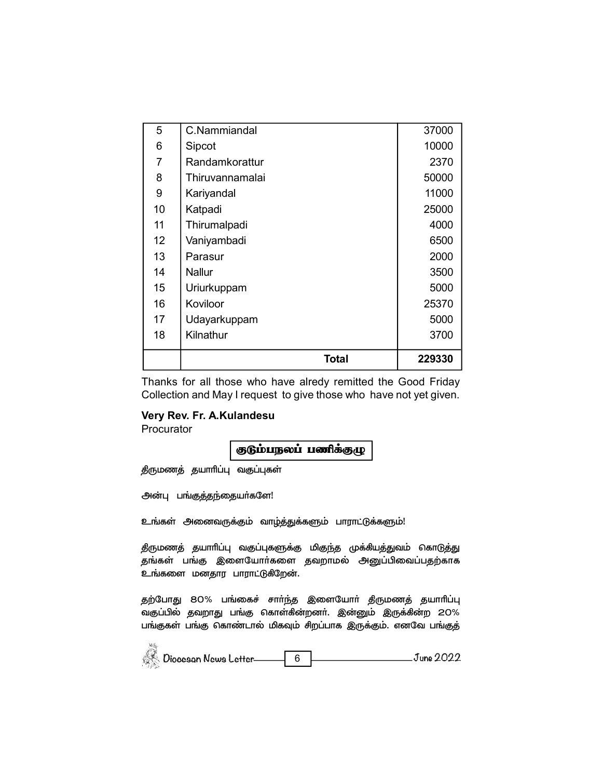| 5                 | C.Nammiandal    | 37000  |
|-------------------|-----------------|--------|
| 6                 | Sipcot          | 10000  |
| 7                 | Randamkorattur  | 2370   |
| 8                 | Thiruvannamalai | 50000  |
| 9                 | Kariyandal      | 11000  |
| 10                | Katpadi         | 25000  |
| 11                | Thirumalpadi    | 4000   |
| $12 \overline{ }$ | Vaniyambadi     | 6500   |
| 13                | Parasur         | 2000   |
| 14                | Nallur          | 3500   |
| 15                | Uriurkuppam     | 5000   |
| 16                | Koviloor        | 25370  |
| 17                | Udayarkuppam    | 5000   |
| 18                | Kilnathur       | 3700   |
|                   | Total           | 229330 |

Thanks for all those who have alredy remitted the Good Friday Collection and May I request to give those who have not yet given.

### Very Rev. Fr. A.Kulandesu

Procurator

#### குடும்பநலப் பணிக்குழு

திருமணத் தயாரிப்பு வகுப்புகள்

அன்பு பங்குத்தந்தையா்களே!

உங்கள் அனைவருக்கும் வாழ்த்துக்களும் பாராட்டுக்களும்!

திருமணத் தயாரிப்பு வகுப்புகளுக்கு மிகுந்த முக்கியத்துவம் கொடுத்து தங்கள் பங்கு இளையோர்களை தவறாமல் அனுப்பிவைப்பதற்காக உங்களை மனதார பாராட்டுகிறேன்.

தற்போது 80% பங்கைச் சாா்ந்த இளையோா் திருமணத் தயாாிப்பு வகுப்பில் தவறாது பங்கு கொள்கின்றனர். இன்னும் இருக்கின்ற 20% பங்குகள் பங்கு கொண்டால் மிகவும் சிறப்பாக இருக்கும். எனவே பங்குத்

| Diocesan News Letter | June 2022 |
|----------------------|-----------|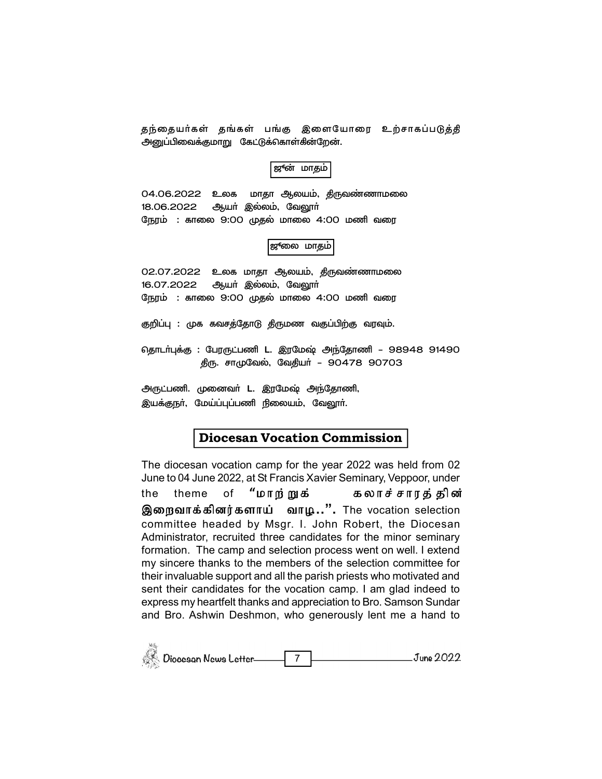தந்தையர்கள் தங்கள் பங்கு இளையோரை உற்சாகப்படுத்தி அனுப்பிவைக்குமாறு கேட்டுக்கொள்கின்றேன்.

ஜூன் மாதம்

04.06.2022 உலக மாதா ஆலயம், திருவண்ணாமலை 18.06.2022 ஆயா் இல்லம், வேலூா் நேரம் : காலை 9:00 முதல் மாலை 4:00 மணி வரை

|ஜுலை மாதம்

02.07.2022 உலக மாதா ஆலயம், திருவண்ணாமலை 16.07.2022 ஆயா் இல்லம், வேலூா் நேரம் : காலை 9:00 முதல் மாலை 4:00 மணி வரை

குறிப்பு : முக கவசத்தோடு திருமண வகுப்பிற்கு வரவும்.

தொடா்புக்கு : பேரருட்பணி L. இரமேஷ் அந்தோணி – 98948 91490 திரு. சாமுவேல், வேதியர் - 90478 90703

அருட்பணி. முனைவா் L. இரமேஷ் அந்தோணி, இயக்குநா், மேய்ப்புப்பணி நிலையம், வேலூா்.

.<br>Wa

### **Diocesan Vocation Commission**

The diocesan vocation camp for the year 2022 was held from 02 June to 04 June 2022, at St Francis Xavier Seminary, Veppoor, under

"மாற்றுக் of கலாச் சாரத் தின் the theme இறைவாக்கினர்களாய் வாழ..". The vocation selection committee headed by Msgr. I. John Robert, the Diocesan Administrator, recruited three candidates for the minor seminary formation. The camp and selection process went on well. I extend my sincere thanks to the members of the selection committee for their invaluable support and all the parish priests who motivated and sent their candidates for the vocation camp. I am glad indeed to express my heartfelt thanks and appreciation to Bro. Samson Sundar and Bro. Ashwin Deshmon, who generously lent me a hand to

| Diocesan News Letter |  | June 2022 |
|----------------------|--|-----------|
|----------------------|--|-----------|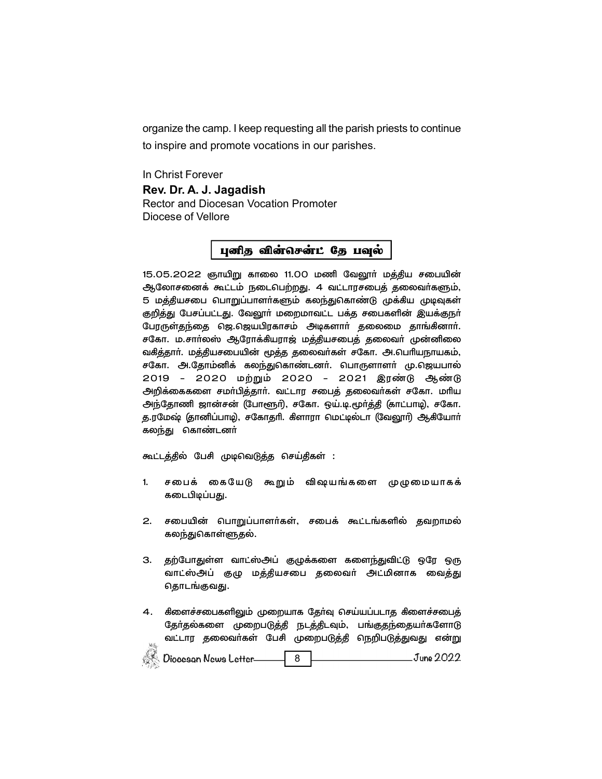organize the camp. I keep requesting all the parish priests to continue to inspire and promote vocations in our parishes.

In Christ Forever Rev. Dr. A. J. Jagadish Rector and Diocesan Vocation Promoter Diocese of Vellore

#### புனித வின்சென்ட் தே பவுல்

15.05.2022 ஞாயிறு காலை 11.00 மணி வேலூர் மத்திய சபையின் ஆலோசனைக் கூட்டம் நடைபெற்றது. 4 வட்டாரசபைத் தலைவா்களும், 5 மத்தியசபை பொறுப்பாளா்களும் கலந்துகொண்டு முக்கிய முடிவுகள் குறித்து பேசப்பட்டது. வேலூா் மறைமாவட்ட பக்த சபைகளின் இயக்குநா் பேரருள்தந்தை ஜெ.ஜெயபிரகாசம் அடிகளார் தலைமை தாங்கினார். சகோ. ம.சாா்லஸ் ஆரோக்கியராஜ் மத்தியசபைத் தலைவா் முன்னிலை வகித்தாா். மத்தியசபையின் மூத்த தலைவா்கள் சகோ. அ.பொியநாயகம், சகோ. அ.தோம்னிக் கலந்துகொண்டனர். பொருளாளர் மு.ஜெயபால் 2019 - 2020 மற்றும் 2020 - 2021 இரண்டு ஆண்டு அறிக்கைகளை சமா்பித்தாா். வட்டார சபைத் தலைவா்கள் சகோ. மாிய அந்தோணி ஜான்சன் (போளூர்), சகோ. ஒய்.டி.மூர்த்தி (காட்பாடி), சகோ. த.ரமேஷ் (தானிப்பாடி), சகோதரி. கிளாரா மெட்டில்டா (வேலூர்) ஆகியோர் கலந்து கொண்டனா்

கூட்டத்தில் பேசி முடிவெடுத்த செய்திகள் :

- 1. சபைக் கையேடு கூறும் விஷயங்களை முழுமையாகக் கடைபிடிப்பது.
- 2. சபையின் பொறுப்பாளர்கள், சபைக் கூட்டங்களில் தவறாமல் கலந்துகொள்ளுதல்.
- 3. தற்போதுள்ள வாட்ஸ்அப் குழுக்களை களைந்துவிட்டு ஒரே ஒரு வாட்ஸ்அப் குழு மத்தியசபை தலைவர் அட்மினாக வைத்து தொடங்குவது.
- 4. கிளைச்சபைகளிலும் முறையாக தேர்வு செய்யப்படாத கிளைச்சபைத் தேர்தல்களை முறைபடுத்தி நடத்திடவும், பங்குதந்தையர்களோடு வட்டார தலைவா்கள் பேசி முறைபடுத்தி நெறிபடுத்துவது என்று  $\frac{1}{2}$

| Diocesan News Letter |  | June 2022 |
|----------------------|--|-----------|
|----------------------|--|-----------|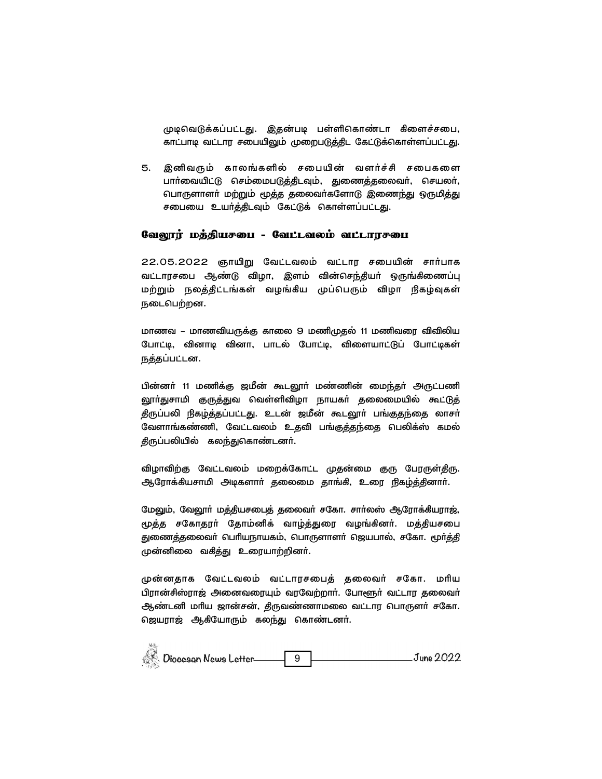முடிவெடுக்கப்பட்டது. இதன்படி பள்ளிகொண்டா கிளைச்சபை, காட்பாடி வட்டார சபையிலும் முறைபடுத்திட கேட்டுக்கொள்ளப்பட்டது.

5. இனிவரும் காலங்களில் சபையின் வளர்ச்சி சபைகளை பார்வையிட்டு செம்மைபடுத்திடவும், துணைத்தலைவர், செயலர், பொருளாளா் மற்றும் மூத்த தலைவா்களோடு இணைந்து ஒருமித்து சபையை உயர்த்திடவும் கேட்டுக் கொள்ளப்பட்டது.

#### வேலூர் மத்தியசபை - வேட்டவலம் வட்டாரசபை

22.05.2022 ஞாயிறு வேட்டவலம் வட்டார சபையின் சார்பாக வட்டாரசபை ஆண்டு விழா, இளம் வின்செந்தியா் ஒருங்கிணைப்பு மற்றும் நலத்திட்டங்கள் வழங்கிய முப்பெரும் விழா நிகழ்வுகள் நடைபெற்றன.

மாணவ – மாணவியருக்கு காலை 9 மணிமுதல் 11 மணிவரை விவிலிய போட்டி, வினாடி வினா, பாடல் போட்டி, விளையாட்டுப் போட்டிகள் நத்தப்பட்டன.

பின்னா் 11 மணிக்கு ஜமீன் கூடலூா் மண்ணின் மைந்தா் அருட்பணி லூா்துசாமி குருத்துவ வெள்ளிவிழா நாயகா் தலைமையில் கூட்டுத் திருப்பலி நிகழ்த்தப்பட்டது. உடன் ஜமீன் கூடலூா் பங்குதந்தை லாசா் வேளாங்கண்ணி, வேட்டவலம் உதவி பங்குத்தந்தை பெலிக்ஸ் கமல் திருப்பலியில் கலந்துகொண்டனா்.

விழாவிற்கு வேட்டவலம் மறைக்கோட்ட முதன்மை குரு பேரருள்திரு. ஆரோக்கியசாமி அடிகளாா் தலைமை தாங்கி, உரை நிகழ்த்தினாா்.

மேலும், வேலூா் மத்தியசபைத் தலைவா் சகோ. சாா்லஸ் ஆரோக்கியராஜ், மூத்த சகோதரா் தோம்னிக் வாழ்த்துரை வழங்கினா். மத்தியசபை துணைத்தலைவா் பெரியநாயகம், பொருளாளா் ஜெயபால், சகோ. மூா்த்தி முன்னிலை வகித்து உரையாற்றினா்.

முன்னதாக வேட்டவலம் வட்டாரசபைத் தலைவர் சகோ. மரிய பிரான்சிஸ்ராஜ் அனைவரையும் வரவேற்றாா். போளூா் வட்டார தலைவா் ஆண்டனி மாிய ஜான்சன், திருவண்ணாமலை வட்டார பொருளா் சகோ. ஜெயராஜ் ஆகியோரும் கலந்து கொண்டனா்.

| يناجحه | Diocesan News Letter | June 2022 |
|--------|----------------------|-----------|
|        |                      |           |

 $\mathcal{M}_{\mathcal{M}}^{\mathcal{L}}$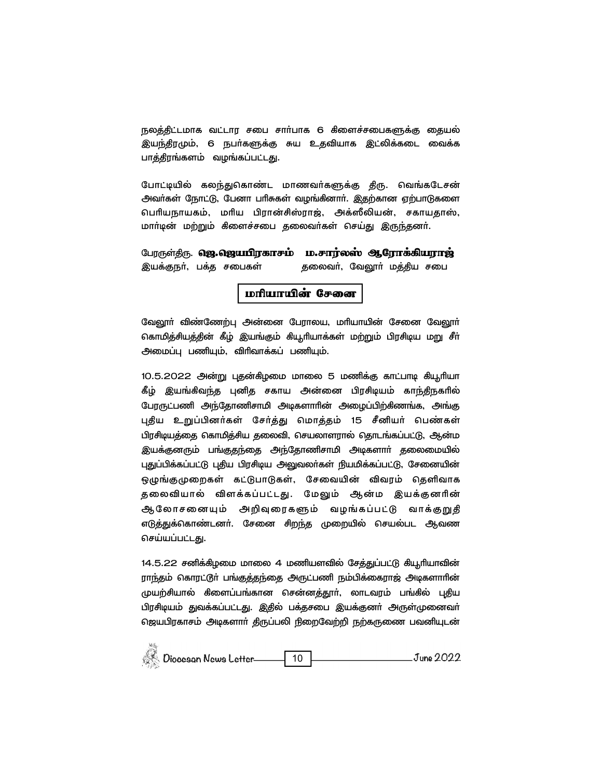நலத்திட்டமாக வட்டார சபை சாா்பாக 6 கிளைச்சபைகளுக்கு தையல் இயந்திரமும், 6 நபா்களுக்கு சுய உதவியாக இட்லிக்கடை வைக்க பாத்திரங்களம் வழங்கப்பட்டது.

போட்டியில் கலந்துகொண்ட மாணவர்களுக்கு திரு. வெங்கடேசன் அவர்கள் நோட்டு, பேனா பரிசுகள் வழங்கினார். இதற்கான ஏற்பாடுகளை பெரியநாயகம், மரிய பிரான்சிஸ்ராஜ், அக்ஸீலியன், சகாயதாஸ், மார்டின் மற்றும் கிளைச்சபை தலைவர்கள் செய்து இருந்தனர்.

பேரருள்திரு. **ஜெ.ஜெயபிரகாசம் ம.சார்லஸ் ஆரோக்கியராஜ்** இயக்குநா், பக்த சபைகள் தலைவா், வேலூா் மத்திய சபை

#### மரியாயின் சேனை

வேலூா் விண்ணேற்பு அன்னை பேராலய, மாியாயின் சேனை வேலூா் கொமித்சியத்தின் கீழ் இயங்கும் கியூரியாக்கள் மற்றும் பிரசிடிய மறு சீா் அமைப்பு பணியும், விரிவாக்கப் பணியும்.

10.5.2022 அன்று புதன்கிழமை மாலை 5 மணிக்கு காட்பாடி கியூரியா கீழ் இயங்கிவந்த புனித சகாய அன்னை பிரசிடியம் காந்திநகரில் பேரருட்பணி அந்தோணிசாமி அடிகளாரின் அழைப்பிற்கிணங்க, அங்கு புதிய உறுப்பினர்கள் சேர்த்து மொத்தம் 15 சீனியர் பெண்கள் பிரசிடியத்தை கொமித்சிய தலைவி, செயலாளரால் தொடங்கப்பட்டு, ஆன்ம இயக்குனரும் பங்குதந்தை அந்தோணிசாமி அடிகளாா் தலைமையில் புதுப்பிக்கப்பட்டு புதிய பிரசிடிய அலுவலா்கள் நியமிக்கப்பட்டு, சேனையின் ஒழுங்குமுறைகள் கட்டுபாடுகள், சேவையின் விவரம் தெளிவாக தலைவியால் விளக்கப்பட்டது. மேலும் ஆன்ம இயக்குனரின் ஆலோசனையும் அறிவுரைகளும் வழங்கப்பட்டு வாக்குறுதி எடுத்துக்கொண்டனா். சேனை சிறந்த முறையில் செயல்பட ஆவண செய்யப்பட்டது.

14.5.22 சனிக்கிழமை மாலை 4 மணியளவில் சேத்துப்பட்டு கியூரியாவின் ராந்தம் கொரட்டூா் பங்குத்தந்தை அருட்பணி நம்பிக்கைராஜ் அடிகளாாின் முயற்சியால் கிளைப்பங்கான சென்னத்தூா், லாடவரம் பங்கில் புதிய பிரசிடியம் துவக்கப்பட்டது. இதில் பக்தசபை இயக்குனா் அருள்முனைவா் ஜெயபிரகாசம் அடிகளாா் திருப்பலி நிறைவேற்றி நற்கருணை பவனியுடன்

| Diocesan News Letter |  | June 2022 |
|----------------------|--|-----------|
|----------------------|--|-----------|

 $\overline{\partial} \overline{\partial}$